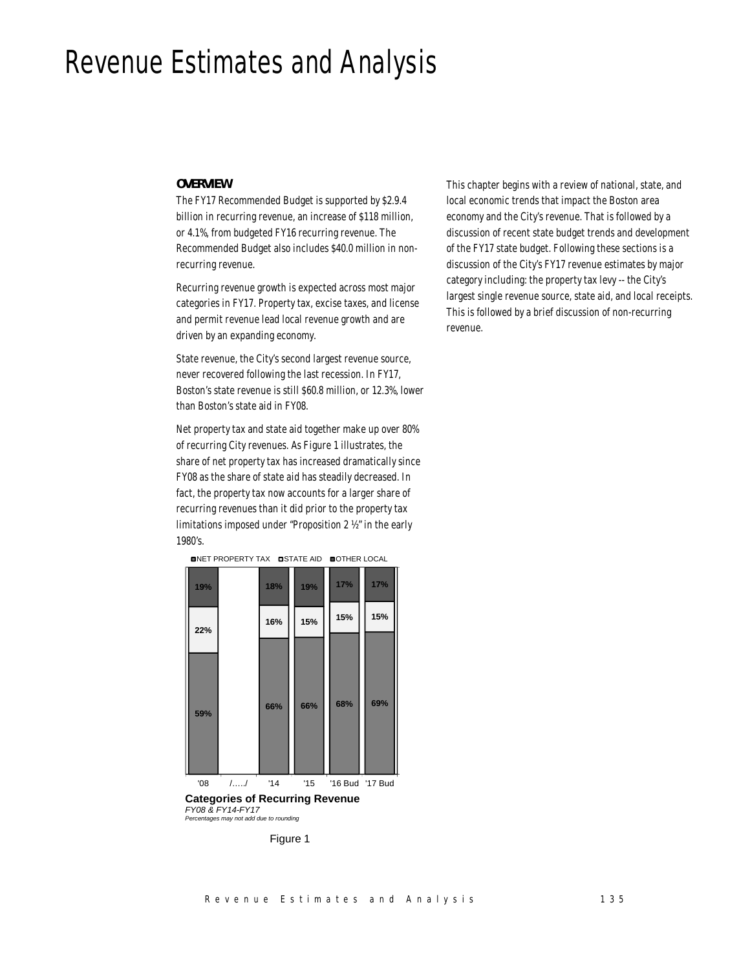# Revenue Estimates and Analysis

## *OVERVIEW*

The FY17 Recommended Budget is supported by \$2.9.4 billion in recurring revenue, an increase of \$118 million, or 4.1%, from budgeted FY16 recurring revenue. The Recommended Budget also includes \$40.0 million in nonrecurring revenue.

Recurring revenue growth is expected across most major categories in FY17. Property tax, excise taxes, and license and permit revenue lead local revenue growth and are driven by an expanding economy.

State revenue, the City's second largest revenue source, never recovered following the last recession. In FY17, Boston's state revenue is still \$60.8 million, or 12.3%, lower than Boston's state aid in FY08.

Net property tax and state aid together make up over 80% of recurring City revenues. As Figure 1 illustrates, the share of net property tax has increased dramatically since FY08 as the share of state aid has steadily decreased. In fact, the property tax now accounts for a larger share of recurring revenues than it did prior to the property tax limitations imposed under "Proposition 2 ½" in the early 1980's.



Figure 1

This chapter begins with a review of national, state, and local economic trends that impact the Boston area economy and the City's revenue. That is followed by a discussion of recent state budget trends and development of the FY17 state budget. Following these sections is a discussion of the City's FY17 revenue estimates by major category including: the property tax levy -- the City's largest single revenue source, state aid, and local receipts. This is followed by a brief discussion of non-recurring revenue.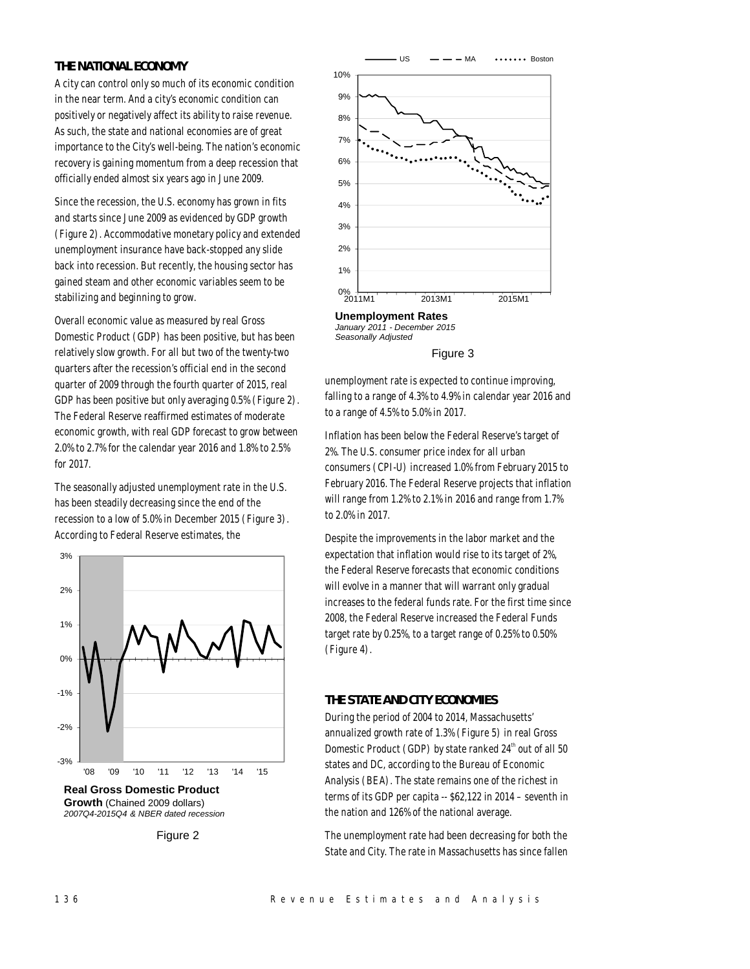## *THE NATIONAL ECONOMY*

A city can control only so much of its economic condition in the near term. And a city's economic condition can positively or negatively affect its ability to raise revenue. As such, the state and national economies are of great importance to the City's well-being. The nation's economic recovery is gaining momentum from a deep recession that officially ended almost six years ago in June 2009.

Since the recession, the U.S. economy has grown in fits and starts since June 2009 as evidenced by GDP growth (Figure 2). Accommodative monetary policy and extended unemployment insurance have back-stopped any slide back into recession. But recently, the housing sector has gained steam and other economic variables seem to be stabilizing and beginning to grow.

Overall economic value as measured by real Gross Domestic Product (GDP) has been positive, but has been relatively slow growth. For all but two of the twenty-two quarters after the recession's official end in the second quarter of 2009 through the fourth quarter of 2015, real GDP has been positive but only averaging 0.5% (Figure 2). The Federal Reserve reaffirmed estimates of moderate economic growth, with real GDP forecast to grow between 2.0% to 2.7% for the calendar year 2016 and 1.8% to 2.5% for 2017.

The seasonally adjusted unemployment rate in the U.S. has been steadily decreasing since the end of the recession to a low of 5.0% in December 2015 (Figure 3). According to Federal Reserve estimates, the



**Real Gross Domestic Product Growth** (Chained 2009 dollars) *2007Q4-2015Q4 & NBER dated recession*





**Unemployment Rates**  *January 2011 - December 2015 Seasonally Adjusted*

#### Figure 3

unemployment rate is expected to continue improving, falling to a range of 4.3% to 4.9% in calendar year 2016 and to a range of 4.5% to 5.0% in 2017.

Inflation has been below the Federal Reserve's target of 2%. The U.S. consumer price index for all urban consumers (CPI-U) increased 1.0% from February 2015 to February 2016. The Federal Reserve projects that inflation will range from 1.2% to 2.1% in 2016 and range from 1.7% to 2.0% in 2017.

Despite the improvements in the labor market and the expectation that inflation would rise to its target of 2%, the Federal Reserve forecasts that economic conditions will evolve in a manner that will warrant only gradual increases to the federal funds rate. For the first time since 2008, the Federal Reserve increased the Federal Funds target rate by 0.25%, to a target range of 0.25% to 0.50% (Figure 4).

## *THE STATE AND CITY ECONOMIES*

During the period of 2004 to 2014, Massachusetts' annualized growth rate of 1.3% (Figure 5) in real Gross Domestic Product (GDP) by state ranked  $24<sup>th</sup>$  out of all 50 states and DC, according to the Bureau of Economic Analysis (BEA). The state remains one of the richest in terms of its GDP per capita -- \$62,122 in 2014 – seventh in the nation and 126% of the national average.

The unemployment rate had been decreasing for both the State and City. The rate in Massachusetts has since fallen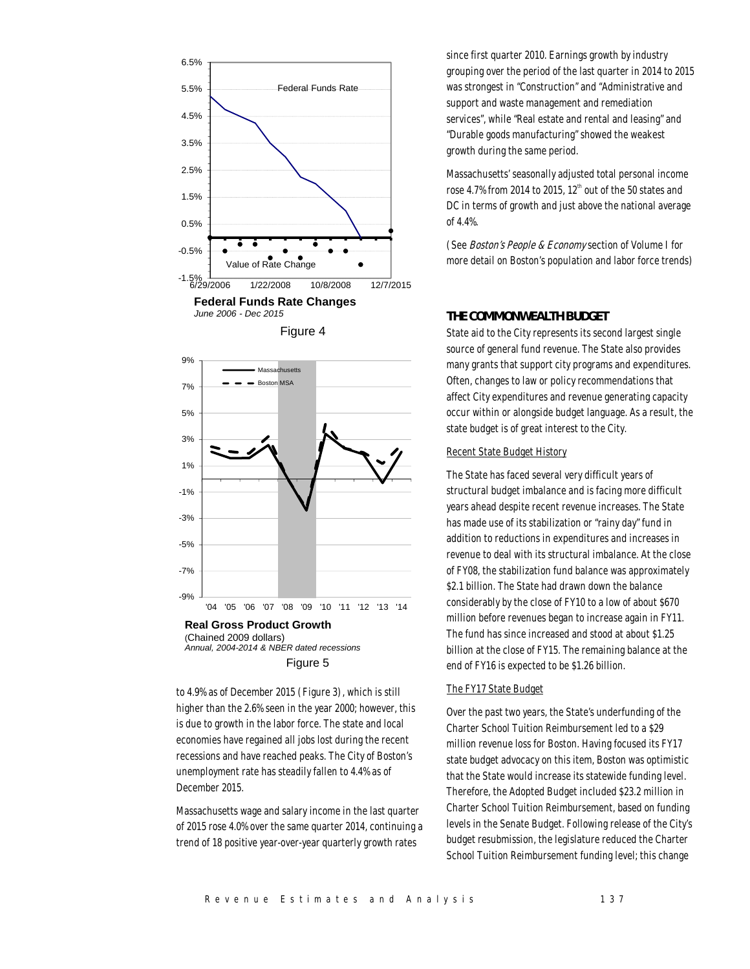



to 4.9% as of December 2015 (Figure 3), which is still higher than the 2.6% seen in the year 2000; however, this is due to growth in the labor force. The state and local economies have regained all jobs lost during the recent recessions and have reached peaks. The City of Boston's unemployment rate has steadily fallen to 4.4% as of December 2015.

Massachusetts wage and salary income in the last quarter of 2015 rose 4.0% over the same quarter 2014, continuing a trend of 18 positive year-over-year quarterly growth rates

since first quarter 2010. Earnings growth by industry grouping over the period of the last quarter in 2014 to 2015 was strongest in "Construction" and "Administrative and support and waste management and remediation services", while "Real estate and rental and leasing" and "Durable goods manufacturing" showed the weakest growth during the same period.

Massachusetts' seasonally adjusted total personal income rose 4.7% from 2014 to 2015,  $12<sup>th</sup>$  out of the 50 states and DC in terms of growth and just above the national average of 4.4%.

(See Boston's People & Economy section of Volume I for more detail on Boston's population and labor force trends)

## *THE COMMONWEALTH BUDGET*

State aid to the City represents its second largest single source of general fund revenue. The State also provides many grants that support city programs and expenditures. Often, changes to law or policy recommendations that affect City expenditures and revenue generating capacity occur within or alongside budget language. As a result, the state budget is of great interest to the City.

## Recent State Budget History

The State has faced several very difficult years of structural budget imbalance and is facing more difficult years ahead despite recent revenue increases. The State has made use of its stabilization or "rainy day" fund in addition to reductions in expenditures and increases in revenue to deal with its structural imbalance. At the close of FY08, the stabilization fund balance was approximately \$2.1 billion. The State had drawn down the balance considerably by the close of FY10 to a low of about \$670 million before revenues began to increase again in FY11. The fund has since increased and stood at about \$1.25 billion at the close of FY15. The remaining balance at the end of FY16 is expected to be \$1.26 billion.

## The FY17 State Budget

Over the past two years, the State's underfunding of the Charter School Tuition Reimbursement led to a \$29 million revenue loss for Boston. Having focused its FY17 state budget advocacy on this item, Boston was optimistic that the State would increase its statewide funding level. Therefore, the Adopted Budget included \$23.2 million in Charter School Tuition Reimbursement, based on funding levels in the Senate Budget. Following release of the City's budget resubmission, the legislature reduced the Charter School Tuition Reimbursement funding level; this change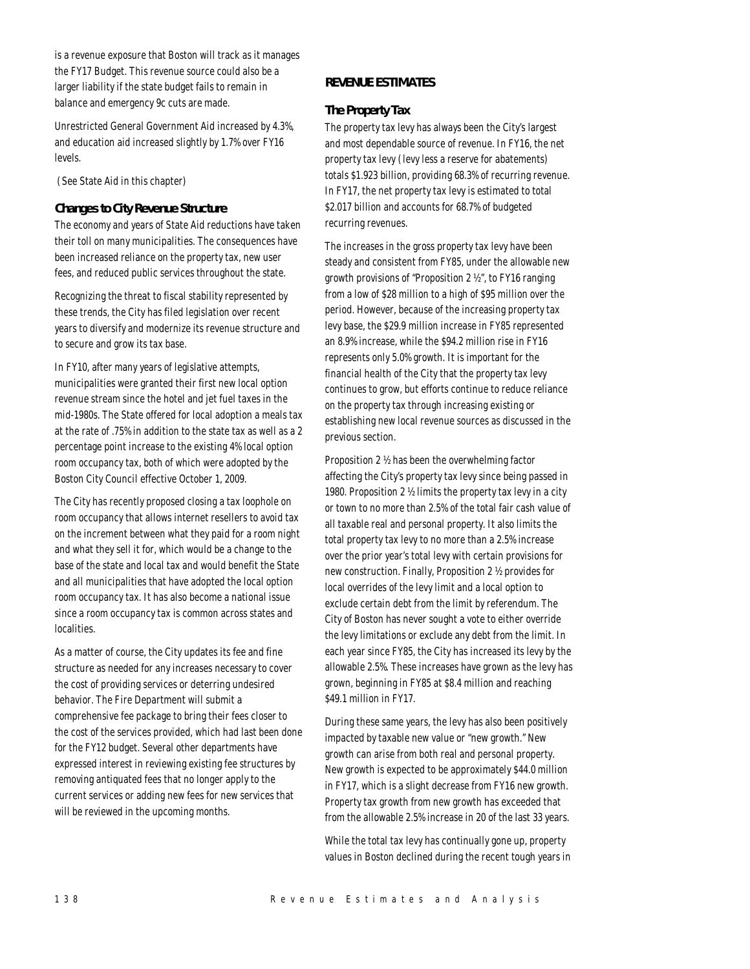is a revenue exposure that Boston will track as it manages the FY17 Budget. This revenue source could also be a larger liability if the state budget fails to remain in balance and emergency 9c cuts are made.

Unrestricted General Government Aid increased by 4.3%, and education aid increased slightly by 1.7% over FY16 levels.

(See State Aid in this chapter)

## *Changes to City Revenue Structure*

The economy and years of State Aid reductions have taken their toll on many municipalities. The consequences have been increased reliance on the property tax, new user fees, and reduced public services throughout the state.

Recognizing the threat to fiscal stability represented by these trends, the City has filed legislation over recent years to diversify and modernize its revenue structure and to secure and grow its tax base.

In FY10, after many years of legislative attempts, municipalities were granted their first new local option revenue stream since the hotel and jet fuel taxes in the mid-1980s. The State offered for local adoption a meals tax at the rate of .75% in addition to the state tax as well as a 2 percentage point increase to the existing 4% local option room occupancy tax, both of which were adopted by the Boston City Council effective October 1, 2009.

The City has recently proposed closing a tax loophole on room occupancy that allows internet resellers to avoid tax on the increment between what they paid for a room night and what they sell it for, which would be a change to the base of the state and local tax and would benefit the State and all municipalities that have adopted the local option room occupancy tax. It has also become a national issue since a room occupancy tax is common across states and localities.

As a matter of course, the City updates its fee and fine structure as needed for any increases necessary to cover the cost of providing services or deterring undesired behavior. The Fire Department will submit a comprehensive fee package to bring their fees closer to the cost of the services provided, which had last been done for the FY12 budget. Several other departments have expressed interest in reviewing existing fee structures by removing antiquated fees that no longer apply to the current services or adding new fees for new services that will be reviewed in the upcoming months.

## *REVENUE ESTIMATES*

## *The Property Tax*

The property tax levy has always been the City's largest and most dependable source of revenue. In FY16, the net property tax levy (levy less a reserve for abatements) totals \$1.923 billion, providing 68.3% of recurring revenue. In FY17, the net property tax levy is estimated to total \$2.017 billion and accounts for 68.7% of budgeted recurring revenues.

The increases in the gross property tax levy have been steady and consistent from FY85, under the allowable new growth provisions of "Proposition 2 ½", to FY16 ranging from a low of \$28 million to a high of \$95 million over the period. However, because of the increasing property tax levy base, the \$29.9 million increase in FY85 represented an 8.9% increase, while the \$94.2 million rise in FY16 represents only 5.0% growth. It is important for the financial health of the City that the property tax levy continues to grow, but efforts continue to reduce reliance on the property tax through increasing existing or establishing new local revenue sources as discussed in the previous section.

Proposition 2 ½ has been the overwhelming factor affecting the City's property tax levy since being passed in 1980. Proposition 2 ½ limits the property tax levy in a city or town to no more than 2.5% of the total fair cash value of all taxable real and personal property. It also limits the total property tax levy to no more than a 2.5% increase over the prior year's total levy with certain provisions for new construction. Finally, Proposition 2 ½ provides for local overrides of the levy limit and a local option to exclude certain debt from the limit by referendum. The City of Boston has never sought a vote to either override the levy limitations or exclude any debt from the limit. In each year since FY85, the City has increased its levy by the allowable 2.5%. These increases have grown as the levy has grown, beginning in FY85 at \$8.4 million and reaching \$49.1 million in FY17.

During these same years, the levy has also been positively impacted by taxable new value or "new growth." New growth can arise from both real and personal property. New growth is expected to be approximately \$44.0 million in FY17, which is a slight decrease from FY16 new growth. Property tax growth from new growth has exceeded that from the allowable 2.5% increase in 20 of the last 33 years.

While the total tax levy has continually gone up, property values in Boston declined during the recent tough years in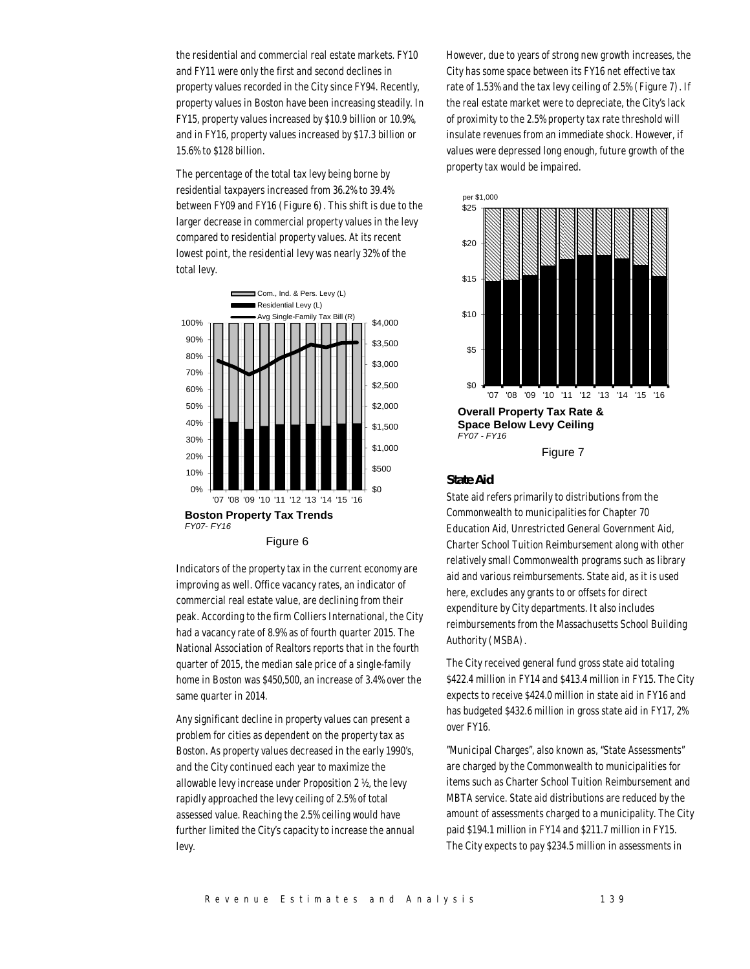the residential and commercial real estate markets. FY10 and FY11 were only the first and second declines in property values recorded in the City since FY94. Recently, property values in Boston have been increasing steadily. In FY15, property values increased by \$10.9 billion or 10.9%, and in FY16, property values increased by \$17.3 billion or 15.6% to \$128 billion.

The percentage of the total tax levy being borne by residential taxpayers increased from 36.2% to 39.4% between FY09 and FY16 (Figure 6). This shift is due to the larger decrease in commercial property values in the levy compared to residential property values. At its recent lowest point, the residential levy was nearly 32% of the total levy.



Indicators of the property tax in the current economy are improving as well. Office vacancy rates, an indicator of commercial real estate value, are declining from their peak. According to the firm Colliers International, the City had a vacancy rate of 8.9% as of fourth quarter 2015. The National Association of Realtors reports that in the fourth quarter of 2015, the median sale price of a single-family home in Boston was \$450,500, an increase of 3.4% over the same quarter in 2014.

Any significant decline in property values can present a problem for cities as dependent on the property tax as Boston. As property values decreased in the early 1990's, and the City continued each year to maximize the allowable levy increase under Proposition 2 ½, the levy rapidly approached the levy ceiling of 2.5% of total assessed value. Reaching the 2.5% ceiling would have further limited the City's capacity to increase the annual levy.

However, due to years of strong new growth increases, the City has some space between its FY16 net effective tax rate of 1.53% and the tax levy ceiling of 2.5% (Figure 7). If the real estate market were to depreciate, the City's lack of proximity to the 2.5% property tax rate threshold will insulate revenues from an immediate shock. However, if values were depressed long enough, future growth of the property tax would be impaired.



## Figure 7

#### *State Aid*

State aid refers primarily to distributions from the Commonwealth to municipalities for Chapter 70 Education Aid, Unrestricted General Government Aid, Charter School Tuition Reimbursement along with other relatively small Commonwealth programs such as library aid and various reimbursements. State aid, as it is used here, excludes any grants to or offsets for direct expenditure by City departments. It also includes reimbursements from the Massachusetts School Building Authority (MSBA).

The City received general fund gross state aid totaling \$422.4 million in FY14 and \$413.4 million in FY15. The City expects to receive \$424.0 million in state aid in FY16 and has budgeted \$432.6 million in gross state aid in FY17, 2% over FY16.

"Municipal Charges", also known as, "State Assessments" are charged by the Commonwealth to municipalities for items such as Charter School Tuition Reimbursement and MBTA service. State aid distributions are reduced by the amount of assessments charged to a municipality. The City paid \$194.1 million in FY14 and \$211.7 million in FY15. The City expects to pay \$234.5 million in assessments in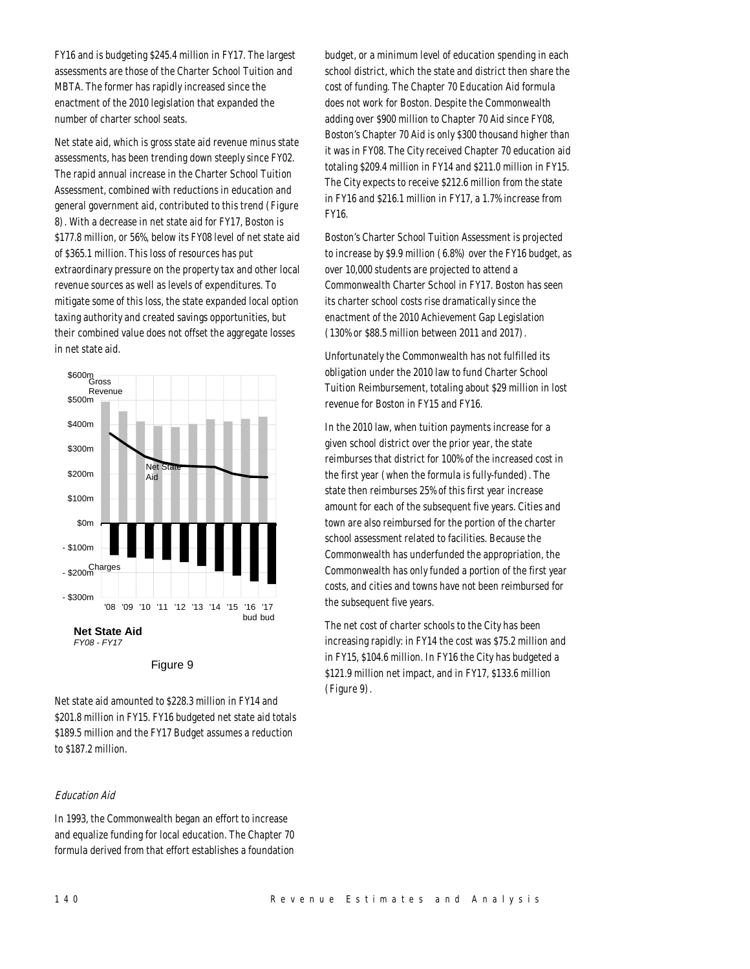FY16 and is budgeting \$245.4 million in FY17. The largest assessments are those of the Charter School Tuition and MBTA. The former has rapidly increased since the enactment of the 2010 legislation that expanded the number of charter school seats.

Net state aid, which is gross state aid revenue minus state assessments, has been trending down steeply since FY02. The rapid annual increase in the Charter School Tuition Assessment, combined with reductions in education and general government aid, contributed to this trend (Figure 8). With a decrease in net state aid for FY17, Boston is \$177.8 million, or 56%, below its FY08 level of net state aid of \$365.1 million. This loss of resources has put extraordinary pressure on the property tax and other local revenue sources as well as levels of expenditures. To mitigate some of this loss, the state expanded local option taxing authority and created savings opportunities, but their combined value does not offset the aggregate losses in net state aid.





Net state aid amounted to \$228.3 million in FY14 and \$201.8 million in FY15. FY16 budgeted net state aid totals \$189.5 million and the FY17 Budget assumes a reduction to \$187.2 million.

## Education Aid

In 1993, the Commonwealth began an effort to increase and equalize funding for local education. The Chapter 70 formula derived from that effort establishes a foundation budget, or a minimum level of education spending in each school district, which the state and district then share the cost of funding. The Chapter 70 Education Aid formula does not work for Boston. Despite the Commonwealth adding over \$900 million to Chapter 70 Aid since FY08, Boston's Chapter 70 Aid is only \$300 thousand higher than it was in FY08. The City received Chapter 70 education aid totaling \$209.4 million in FY14 and \$211.0 million in FY15. The City expects to receive \$212.6 million from the state in FY16 and \$216.1 million in FY17, a 1.7% increase from FY16.

Boston's Charter School Tuition Assessment is projected to increase by \$9.9 million (6.8%) over the FY16 budget, as over 10,000 students are projected to attend a Commonwealth Charter School in FY17. Boston has seen its charter school costs rise dramatically since the enactment of the 2010 Achievement Gap Legislation (130% or \$88.5 million between 2011 and 2017).

Unfortunately the Commonwealth has not fulfilled its obligation under the 2010 law to fund Charter School Tuition Reimbursement, totaling about \$29 million in lost revenue for Boston in FY15 and FY16.

In the 2010 law, when tuition payments increase for a given school district over the prior year, the state reimburses that district for 100% of the increased cost in the first year (when the formula is fully-funded). The state then reimburses 25% of this first year increase amount for each of the subsequent five years. Cities and town are also reimbursed for the portion of the charter school assessment related to facilities. Because the Commonwealth has underfunded the appropriation, the Commonwealth has only funded a portion of the first year costs, and cities and towns have not been reimbursed for the subsequent five years.

The net cost of charter schools to the City has been increasing rapidly: in FY14 the cost was \$75.2 million and in FY15, \$104.6 million. In FY16 the City has budgeted a \$121.9 million net impact, and in FY17, \$133.6 million (Figure 9).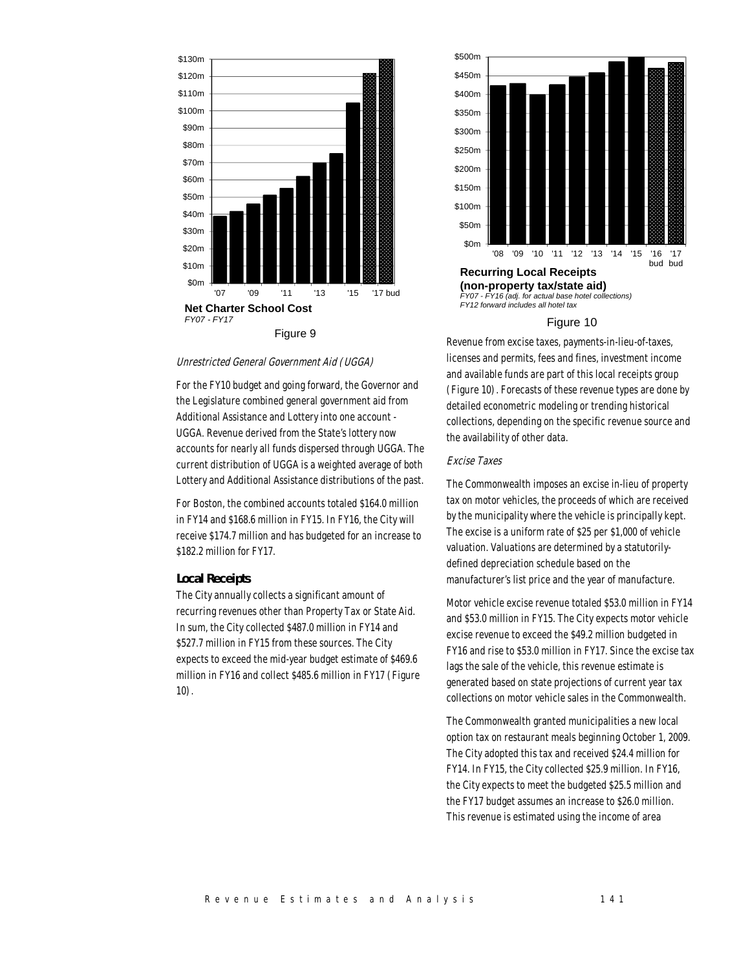

Unrestricted General Government Aid (UGGA)

For the FY10 budget and going forward, the Governor and the Legislature combined general government aid from Additional Assistance and Lottery into one account - UGGA. Revenue derived from the State's lottery now accounts for nearly all funds dispersed through UGGA. The current distribution of UGGA is a weighted average of both Lottery and Additional Assistance distributions of the past.

For Boston, the combined accounts totaled \$164.0 million in FY14 and \$168.6 million in FY15. In FY16, the City will receive \$174.7 million and has budgeted for an increase to \$182.2 million for FY17.

#### *Local Receipts*

The City annually collects a significant amount of recurring revenues other than Property Tax or State Aid. In sum, the City collected \$487.0 million in FY14 and \$527.7 million in FY15 from these sources. The City expects to exceed the mid-year budget estimate of \$469.6 million in FY16 and collect \$485.6 million in FY17 (Figure 10).



*FY07 - FY16 (adj. for actual base hotel collections) FY12 forward includes all hotel tax*

#### Figure 10

Revenue from excise taxes, payments-in-lieu-of-taxes, licenses and permits, fees and fines, investment income and available funds are part of this local receipts group (Figure 10). Forecasts of these revenue types are done by detailed econometric modeling or trending historical collections, depending on the specific revenue source and the availability of other data.

#### Excise Taxes

The Commonwealth imposes an excise in-lieu of property tax on motor vehicles, the proceeds of which are received by the municipality where the vehicle is principally kept. The excise is a uniform rate of \$25 per \$1,000 of vehicle valuation. Valuations are determined by a statutorilydefined depreciation schedule based on the manufacturer's list price and the year of manufacture.

Motor vehicle excise revenue totaled \$53.0 million in FY14 and \$53.0 million in FY15. The City expects motor vehicle excise revenue to exceed the \$49.2 million budgeted in FY16 and rise to \$53.0 million in FY17. Since the excise tax lags the sale of the vehicle, this revenue estimate is generated based on state projections of current year tax collections on motor vehicle sales in the Commonwealth.

The Commonwealth granted municipalities a new local option tax on restaurant meals beginning October 1, 2009. The City adopted this tax and received \$24.4 million for FY14. In FY15, the City collected \$25.9 million. In FY16, the City expects to meet the budgeted \$25.5 million and the FY17 budget assumes an increase to \$26.0 million. This revenue is estimated using the income of area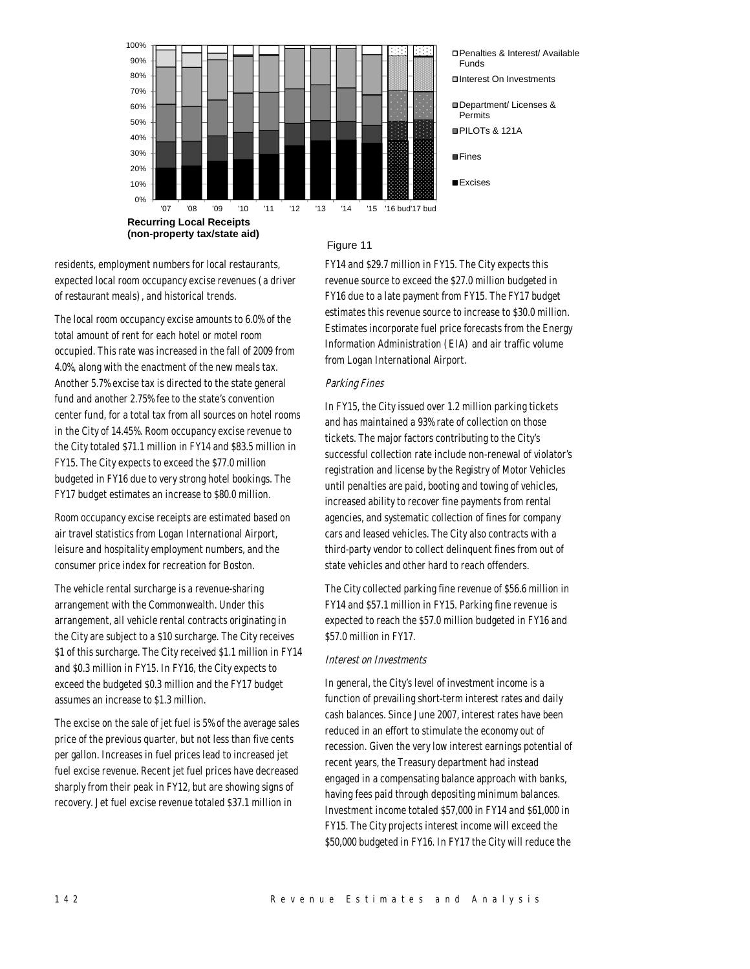

Figure 11

residents, employment numbers for local restaurants, expected local room occupancy excise revenues (a driver of restaurant meals), and historical trends.

The local room occupancy excise amounts to 6.0% of the total amount of rent for each hotel or motel room occupied. This rate was increased in the fall of 2009 from 4.0%, along with the enactment of the new meals tax. Another 5.7% excise tax is directed to the state general fund and another 2.75% fee to the state's convention center fund, for a total tax from all sources on hotel rooms in the City of 14.45%. Room occupancy excise revenue to the City totaled \$71.1 million in FY14 and \$83.5 million in FY15. The City expects to exceed the \$77.0 million budgeted in FY16 due to very strong hotel bookings. The FY17 budget estimates an increase to \$80.0 million.

Room occupancy excise receipts are estimated based on air travel statistics from Logan International Airport, leisure and hospitality employment numbers, and the consumer price index for recreation for Boston.

The vehicle rental surcharge is a revenue-sharing arrangement with the Commonwealth. Under this arrangement, all vehicle rental contracts originating in the City are subject to a \$10 surcharge. The City receives \$1 of this surcharge. The City received \$1.1 million in FY14 and \$0.3 million in FY15. In FY16, the City expects to exceed the budgeted \$0.3 million and the FY17 budget assumes an increase to \$1.3 million.

The excise on the sale of jet fuel is 5% of the average sales price of the previous quarter, but not less than five cents per gallon. Increases in fuel prices lead to increased jet fuel excise revenue. Recent jet fuel prices have decreased sharply from their peak in FY12, but are showing signs of recovery. Jet fuel excise revenue totaled \$37.1 million in

## FY14 and \$29.7 million in FY15. The City expects this revenue source to exceed the \$27.0 million budgeted in FY16 due to a late payment from FY15. The FY17 budget estimates this revenue source to increase to \$30.0 million. Estimates incorporate fuel price forecasts from the Energy Information Administration (EIA) and air traffic volume from Logan International Airport.

## Parking Fines

In FY15, the City issued over 1.2 million parking tickets and has maintained a 93% rate of collection on those tickets. The major factors contributing to the City's successful collection rate include non-renewal of violator's registration and license by the Registry of Motor Vehicles until penalties are paid, booting and towing of vehicles, increased ability to recover fine payments from rental agencies, and systematic collection of fines for company cars and leased vehicles. The City also contracts with a third-party vendor to collect delinquent fines from out of state vehicles and other hard to reach offenders.

The City collected parking fine revenue of \$56.6 million in FY14 and \$57.1 million in FY15. Parking fine revenue is expected to reach the \$57.0 million budgeted in FY16 and \$57.0 million in FY17.

## Interest on Investments

In general, the City's level of investment income is a function of prevailing short-term interest rates and daily cash balances. Since June 2007, interest rates have been reduced in an effort to stimulate the economy out of recession. Given the very low interest earnings potential of recent years, the Treasury department had instead engaged in a compensating balance approach with banks, having fees paid through depositing minimum balances. Investment income totaled \$57,000 in FY14 and \$61,000 in FY15. The City projects interest income will exceed the \$50,000 budgeted in FY16. In FY17 the City will reduce the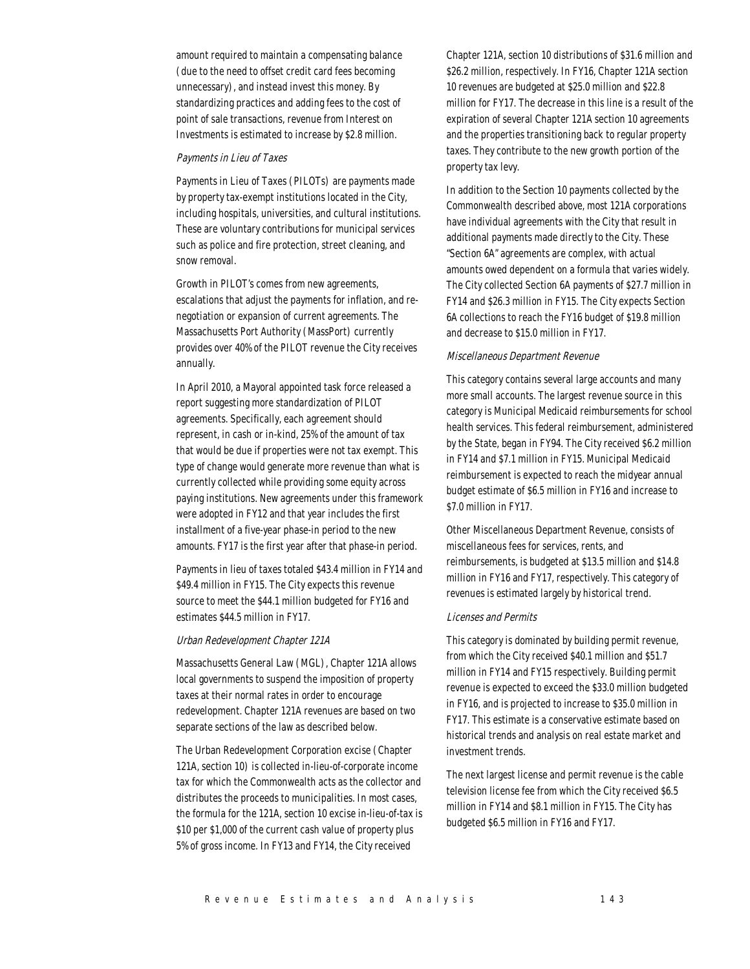amount required to maintain a compensating balance (due to the need to offset credit card fees becoming unnecessary), and instead invest this money. By standardizing practices and adding fees to the cost of point of sale transactions, revenue from Interest on Investments is estimated to increase by \$2.8 million.

#### Payments in Lieu of Taxes

Payments in Lieu of Taxes (PILOTs) are payments made by property tax-exempt institutions located in the City, including hospitals, universities, and cultural institutions. These are voluntary contributions for municipal services such as police and fire protection, street cleaning, and snow removal.

Growth in PILOT's comes from new agreements, escalations that adjust the payments for inflation, and renegotiation or expansion of current agreements. The Massachusetts Port Authority (MassPort) currently provides over 40% of the PILOT revenue the City receives annually.

In April 2010, a Mayoral appointed task force released a report suggesting more standardization of PILOT agreements. Specifically, each agreement should represent, in cash or in-kind, 25% of the amount of tax that would be due if properties were not tax exempt. This type of change would generate more revenue than what is currently collected while providing some equity across paying institutions. New agreements under this framework were adopted in FY12 and that year includes the first installment of a five-year phase-in period to the new amounts. FY17 is the first year after that phase-in period.

Payments in lieu of taxes totaled \$43.4 million in FY14 and \$49.4 million in FY15. The City expects this revenue source to meet the \$44.1 million budgeted for FY16 and estimates \$44.5 million in FY17.

## Urban Redevelopment Chapter 121A

Massachusetts General Law (MGL), Chapter 121A allows local governments to suspend the imposition of property taxes at their normal rates in order to encourage redevelopment. Chapter 121A revenues are based on two separate sections of the law as described below.

The Urban Redevelopment Corporation excise (Chapter 121A, section 10) is collected in-lieu-of-corporate income tax for which the Commonwealth acts as the collector and distributes the proceeds to municipalities. In most cases, the formula for the 121A, section 10 excise in-lieu-of-tax is \$10 per \$1,000 of the current cash value of property plus 5% of gross income. In FY13 and FY14, the City received

Chapter 121A, section 10 distributions of \$31.6 million and \$26.2 million, respectively. In FY16, Chapter 121A section 10 revenues are budgeted at \$25.0 million and \$22.8 million for FY17. The decrease in this line is a result of the expiration of several Chapter 121A section 10 agreements and the properties transitioning back to regular property taxes. They contribute to the new growth portion of the property tax levy.

In addition to the Section 10 payments collected by the Commonwealth described above, most 121A corporations have individual agreements with the City that result in additional payments made directly to the City. These "Section 6A" agreements are complex, with actual amounts owed dependent on a formula that varies widely. The City collected Section 6A payments of \$27.7 million in FY14 and \$26.3 million in FY15. The City expects Section 6A collections to reach the FY16 budget of \$19.8 million and decrease to \$15.0 million in FY17.

### Miscellaneous Department Revenue

This category contains several large accounts and many more small accounts. The largest revenue source in this category is Municipal Medicaid reimbursements for school health services. This federal reimbursement, administered by the State, began in FY94. The City received \$6.2 million in FY14 and \$7.1 million in FY15. Municipal Medicaid reimbursement is expected to reach the midyear annual budget estimate of \$6.5 million in FY16 and increase to \$7.0 million in FY17.

Other Miscellaneous Department Revenue, consists of miscellaneous fees for services, rents, and reimbursements, is budgeted at \$13.5 million and \$14.8 million in FY16 and FY17, respectively. This category of revenues is estimated largely by historical trend.

#### Licenses and Permits

This category is dominated by building permit revenue, from which the City received \$40.1 million and \$51.7 million in FY14 and FY15 respectively. Building permit revenue is expected to exceed the \$33.0 million budgeted in FY16, and is projected to increase to \$35.0 million in FY17. This estimate is a conservative estimate based on historical trends and analysis on real estate market and investment trends.

The next largest license and permit revenue is the cable television license fee from which the City received \$6.5 million in FY14 and \$8.1 million in FY15. The City has budgeted \$6.5 million in FY16 and FY17.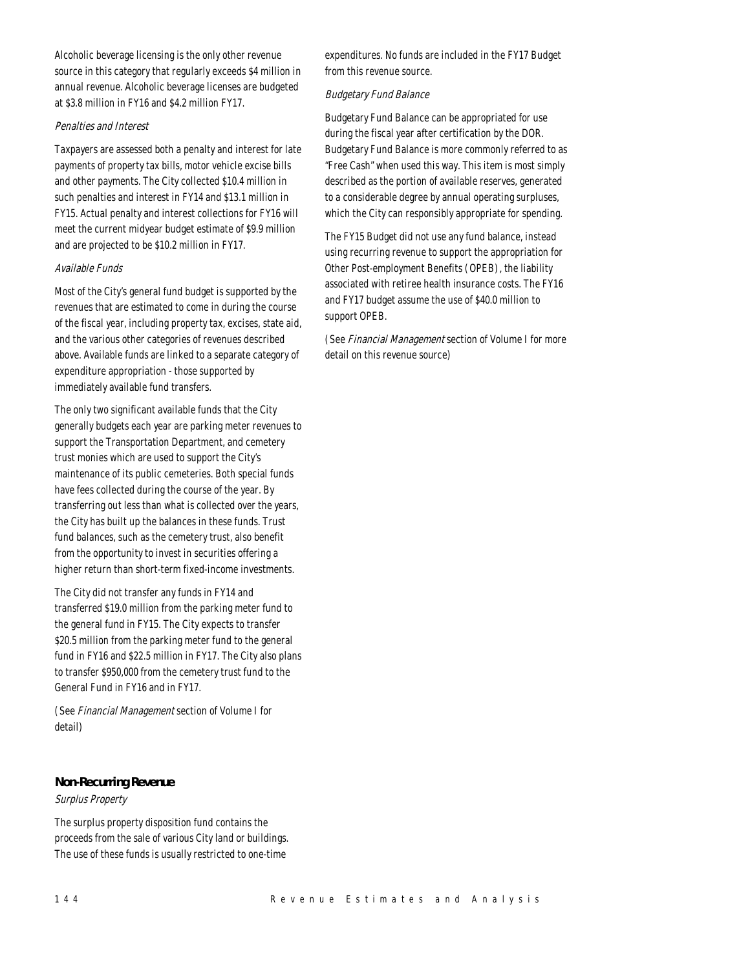Alcoholic beverage licensing is the only other revenue source in this category that regularly exceeds \$4 million in annual revenue. Alcoholic beverage licenses are budgeted at \$3.8 million in FY16 and \$4.2 million FY17.

## Penalties and Interest

Taxpayers are assessed both a penalty and interest for late payments of property tax bills, motor vehicle excise bills and other payments. The City collected \$10.4 million in such penalties and interest in FY14 and \$13.1 million in FY15. Actual penalty and interest collections for FY16 will meet the current midyear budget estimate of \$9.9 million and are projected to be \$10.2 million in FY17.

## Available Funds

Most of the City's general fund budget is supported by the revenues that are estimated to come in during the course of the fiscal year, including property tax, excises, state aid, and the various other categories of revenues described above. Available funds are linked to a separate category of expenditure appropriation - those supported by immediately available fund transfers.

The only two significant available funds that the City generally budgets each year are parking meter revenues to support the Transportation Department, and cemetery trust monies which are used to support the City's maintenance of its public cemeteries. Both special funds have fees collected during the course of the year. By transferring out less than what is collected over the years, the City has built up the balances in these funds. Trust fund balances, such as the cemetery trust, also benefit from the opportunity to invest in securities offering a higher return than short-term fixed-income investments.

The City did not transfer any funds in FY14 and transferred \$19.0 million from the parking meter fund to the general fund in FY15. The City expects to transfer \$20.5 million from the parking meter fund to the general fund in FY16 and \$22.5 million in FY17. The City also plans to transfer \$950,000 from the cemetery trust fund to the General Fund in FY16 and in FY17.

(See Financial Management section of Volume I for detail)

## *Non-Recurring Revenue*

## Surplus Property

The surplus property disposition fund contains the proceeds from the sale of various City land or buildings. The use of these funds is usually restricted to one-time

expenditures. No funds are included in the FY17 Budget from this revenue source.

## Budgetary Fund Balance

Budgetary Fund Balance can be appropriated for use during the fiscal year after certification by the DOR. Budgetary Fund Balance is more commonly referred to as "Free Cash" when used this way. This item is most simply described as the portion of available reserves, generated to a considerable degree by annual operating surpluses, which the City can responsibly appropriate for spending.

The FY15 Budget did not use any fund balance, instead using recurring revenue to support the appropriation for Other Post-employment Benefits (OPEB), the liability associated with retiree health insurance costs. The FY16 and FY17 budget assume the use of \$40.0 million to support OPEB.

(See Financial Management section of Volume I for more detail on this revenue source)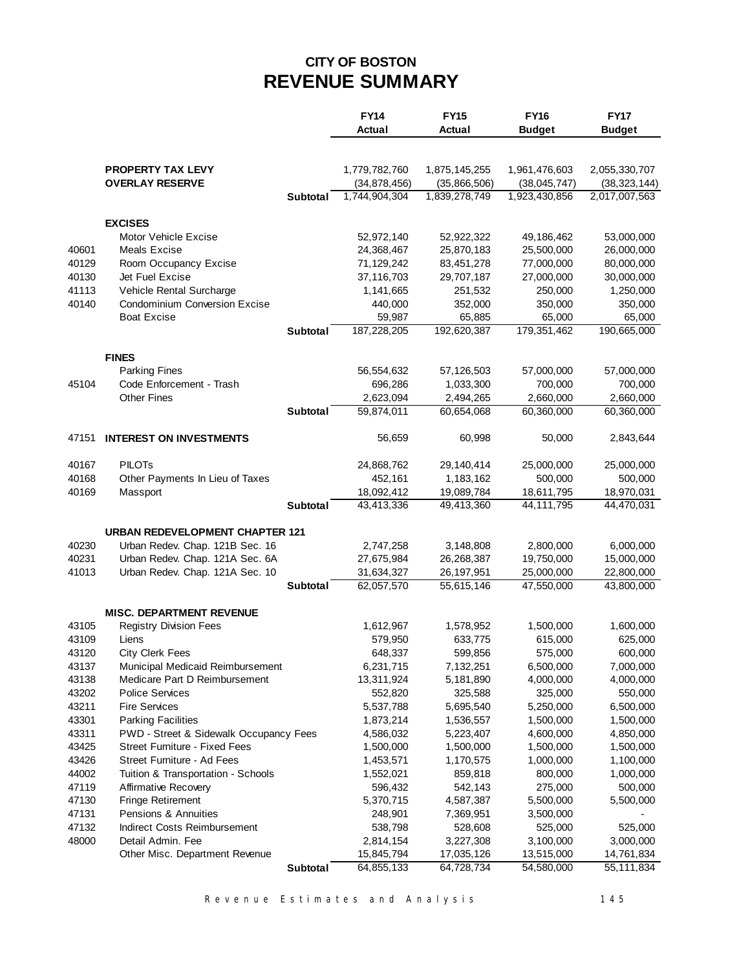# **CITY OF BOSTON REVENUE SUMMARY**

|                |                                                                   |                 | <b>FY14</b>          | <b>FY15</b>          | <b>FY16</b>          | <b>FY17</b>          |
|----------------|-------------------------------------------------------------------|-----------------|----------------------|----------------------|----------------------|----------------------|
|                |                                                                   |                 | <b>Actual</b>        | Actual               | <b>Budget</b>        | <b>Budget</b>        |
|                | <b>PROPERTY TAX LEVY</b>                                          |                 | 1,779,782,760        | 1,875,145,255        | 1,961,476,603        | 2,055,330,707        |
|                | <b>OVERLAY RESERVE</b>                                            |                 | (34, 878, 456)       | (35,866,506)         | (38, 045, 747)       | (38, 323, 144)       |
|                |                                                                   | <b>Subtotal</b> | 1,744,904,304        | 1,839,278,749        | 1,923,430,856        | 2,017,007,563        |
|                | <b>EXCISES</b>                                                    |                 |                      |                      |                      |                      |
|                | <b>Motor Vehicle Excise</b>                                       |                 | 52,972,140           | 52,922,322           | 49,186,462           | 53,000,000           |
| 40601          | Meals Excise                                                      |                 | 24,368,467           | 25,870,183           | 25,500,000           | 26,000,000           |
| 40129          | Room Occupancy Excise                                             |                 | 71,129,242           | 83,451,278           | 77,000,000           | 80,000,000           |
| 40130          | Jet Fuel Excise                                                   |                 | 37, 116, 703         | 29,707,187           | 27,000,000           | 30,000,000           |
| 41113          | Vehicle Rental Surcharge                                          |                 | 1,141,665            | 251,532              | 250,000              | 1,250,000            |
| 40140          | <b>Condominium Conversion Excise</b>                              |                 | 440,000              | 352,000              | 350,000              | 350,000              |
|                | <b>Boat Excise</b>                                                |                 | 59,987               | 65,885               | 65,000               | 65,000               |
|                |                                                                   | <b>Subtotal</b> | 187,228,205          | 192,620,387          | 179,351,462          | 190,665,000          |
|                | <b>FINES</b>                                                      |                 |                      |                      |                      |                      |
|                | <b>Parking Fines</b>                                              |                 | 56,554,632           | 57,126,503           | 57,000,000           | 57,000,000           |
| 45104          | Code Enforcement - Trash                                          |                 | 696,286              | 1,033,300            | 700,000              | 700,000              |
|                | <b>Other Fines</b>                                                |                 | 2,623,094            | 2,494,265            | 2,660,000            | 2,660,000            |
|                |                                                                   | <b>Subtotal</b> | 59,874,011           | 60,654,068           | 60,360,000           | 60,360,000           |
| 47151          | <b>INTEREST ON INVESTMENTS</b>                                    |                 | 56,659               | 60,998               | 50,000               | 2,843,644            |
| 40167          | <b>PILOTS</b>                                                     |                 | 24,868,762           | 29,140,414           | 25,000,000           | 25,000,000           |
| 40168          | Other Payments In Lieu of Taxes                                   |                 | 452,161              | 1,183,162            | 500,000              | 500,000              |
| 40169          | Massport                                                          |                 | 18,092,412           | 19,089,784           | 18,611,795           | 18,970,031           |
|                |                                                                   | <b>Subtotal</b> | 43,413,336           | 49,413,360           | 44, 111, 795         | 44,470,031           |
|                | <b>URBAN REDEVELOPMENT CHAPTER 121</b>                            |                 |                      |                      |                      |                      |
| 40230          | Urban Redev. Chap. 121B Sec. 16                                   |                 | 2,747,258            | 3,148,808            | 2,800,000            | 6,000,000            |
| 40231          | Urban Redev. Chap. 121A Sec. 6A                                   |                 | 27,675,984           | 26,268,387           | 19,750,000           | 15,000,000           |
| 41013          | Urban Redev. Chap. 121A Sec. 10                                   |                 | 31,634,327           | 26,197,951           | 25,000,000           | 22,800,000           |
|                |                                                                   | <b>Subtotal</b> | 62,057,570           | 55,615,146           | 47,550,000           | 43,800,000           |
|                | <b>MISC. DEPARTMENT REVENUE</b>                                   |                 |                      |                      |                      |                      |
| 43105          | <b>Registry Division Fees</b>                                     |                 | 1,612,967            | 1,578,952            | 1,500,000            | 1,600,000            |
| 43109          | Liens                                                             |                 | 579,950              | 633,775              | 615,000              | 625,000              |
| 43120          | <b>City Clerk Fees</b>                                            |                 | 648,337              | 599,856              | 575,000              | 600,000              |
| 43137<br>43138 | Municipal Medicaid Reimbursement<br>Medicare Part D Reimbursement |                 | 6,231,715            | 7,132,251            | 6,500,000            | 7,000,000            |
|                | <b>Police Services</b>                                            |                 | 13,311,924           | 5,181,890            | 4,000,000            | 4,000,000            |
| 43202<br>43211 | <b>Fire Services</b>                                              |                 | 552,820<br>5,537,788 | 325,588<br>5,695,540 | 325,000<br>5,250,000 | 550,000<br>6,500,000 |
| 43301          | <b>Parking Facilities</b>                                         |                 | 1,873,214            | 1,536,557            | 1,500,000            | 1,500,000            |
| 43311          | PWD - Street & Sidewalk Occupancy Fees                            |                 | 4,586,032            | 5,223,407            | 4,600,000            | 4,850,000            |
| 43425          | Street Furniture - Fixed Fees                                     |                 | 1,500,000            | 1,500,000            | 1,500,000            | 1,500,000            |
| 43426          | Street Furniture - Ad Fees                                        |                 | 1,453,571            | 1,170,575            | 1,000,000            | 1,100,000            |
| 44002          | Tuition & Transportation - Schools                                |                 | 1,552,021            | 859,818              | 800,000              | 1,000,000            |
| 47119          | Affirmative Recovery                                              |                 | 596,432              | 542,143              | 275,000              | 500,000              |
| 47130          | <b>Fringe Retirement</b>                                          |                 | 5,370,715            | 4,587,387            | 5,500,000            | 5,500,000            |
| 47131          | Pensions & Annuities                                              |                 | 248,901              | 7,369,951            | 3,500,000            |                      |
| 47132          | <b>Indirect Costs Reimbursement</b>                               |                 | 538,798              | 528,608              | 525,000              | 525,000              |
| 48000          | Detail Admin. Fee                                                 |                 | 2,814,154            | 3,227,308            | 3,100,000            | 3,000,000            |
|                | Other Misc. Department Revenue                                    |                 | 15,845,794           | 17,035,126           | 13,515,000           | 14,761,834           |
|                |                                                                   | Subtotal        | 64,855,133           | 64,728,734           | 54,580,000           | 55, 111, 834         |